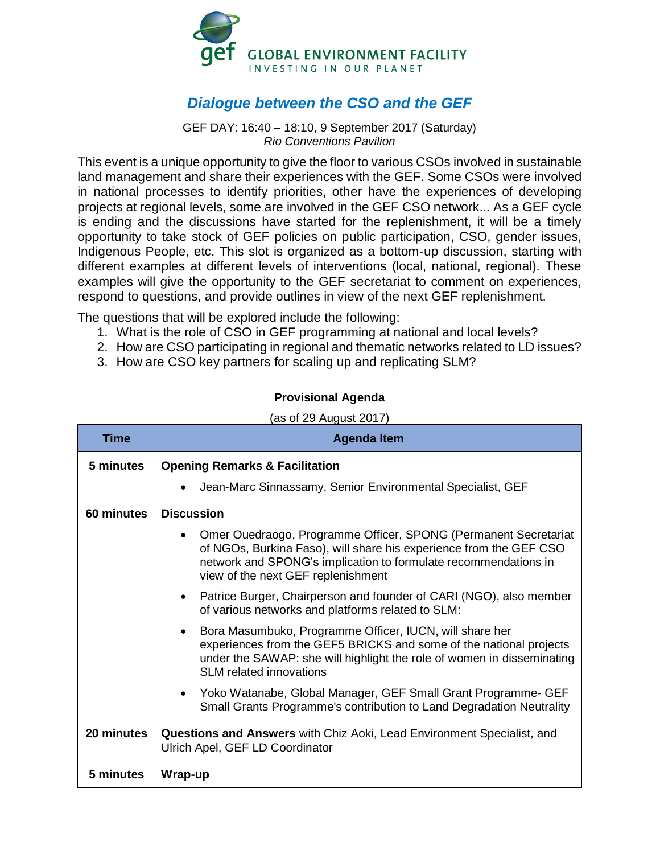

## *Dialogue between the CSO and the GEF*

GEF DAY: 16:40 – 18:10, 9 September 2017 (Saturday) *Rio Conventions Pavilion*

This event is a unique opportunity to give the floor to various CSOs involved in sustainable land management and share their experiences with the GEF. Some CSOs were involved in national processes to identify priorities, other have the experiences of developing projects at regional levels, some are involved in the GEF CSO network... As a GEF cycle is ending and the discussions have started for the replenishment, it will be a timely opportunity to take stock of GEF policies on public participation, CSO, gender issues, Indigenous People, etc. This slot is organized as a bottom-up discussion, starting with different examples at different levels of interventions (local, national, regional). These examples will give the opportunity to the GEF secretariat to comment on experiences, respond to questions, and provide outlines in view of the next GEF replenishment.

The questions that will be explored include the following:

- 1. What is the role of CSO in GEF programming at national and local levels?
- 2. How are CSO participating in regional and thematic networks related to LD issues?
- 3. How are CSO key partners for scaling up and replicating SLM?

## **Provisional Agenda**

## $(as of 29 August 2017)$

| Time       | <b>Agenda Item</b>                                                                                                                                                                                                                                          |
|------------|-------------------------------------------------------------------------------------------------------------------------------------------------------------------------------------------------------------------------------------------------------------|
| 5 minutes  | <b>Opening Remarks &amp; Facilitation</b>                                                                                                                                                                                                                   |
|            | Jean-Marc Sinnassamy, Senior Environmental Specialist, GEF                                                                                                                                                                                                  |
| 60 minutes | <b>Discussion</b>                                                                                                                                                                                                                                           |
|            | Omer Ouedraogo, Programme Officer, SPONG (Permanent Secretariat<br>$\bullet$<br>of NGOs, Burkina Faso), will share his experience from the GEF CSO<br>network and SPONG's implication to formulate recommendations in<br>view of the next GEF replenishment |
|            | Patrice Burger, Chairperson and founder of CARI (NGO), also member<br>$\bullet$<br>of various networks and platforms related to SLM:                                                                                                                        |
|            | Bora Masumbuko, Programme Officer, IUCN, will share her<br>$\bullet$<br>experiences from the GEF5 BRICKS and some of the national projects<br>under the SAWAP: she will highlight the role of women in disseminating<br><b>SLM</b> related innovations      |
|            | • Yoko Watanabe, Global Manager, GEF Small Grant Programme- GEF<br>Small Grants Programme's contribution to Land Degradation Neutrality                                                                                                                     |
| 20 minutes | <b>Questions and Answers</b> with Chiz Aoki, Lead Environment Specialist, and<br>Ulrich Apel, GEF LD Coordinator                                                                                                                                            |
| 5 minutes  | Wrap-up                                                                                                                                                                                                                                                     |